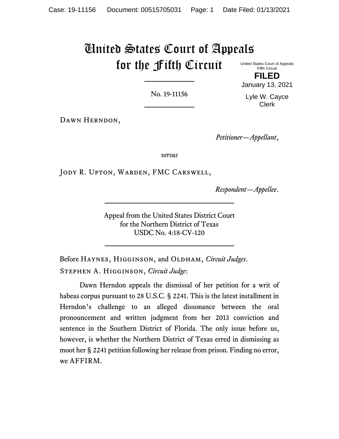# United States Court of Appeals for the Fifth Circuit

United States Court of Appeals Fifth Circuit **FILED**

No. 19-11156

January 13, 2021 Lyle W. Cayce Clerk

Dawn Herndon,

*Petitioner—Appellant*,

*versus*

Jody R. Upton, Warden, FMC Carswell,

*Respondent—Appellee*.

Appeal from the United States District Court for the Northern District of Texas USDC No. 4:18-CV-120

Before HAYNES, HIGGINSON, and OLDHAM, *Circuit Judges*. Stephen A. Higginson, *Circuit Judge*:

Dawn Herndon appeals the dismissal of her petition for a writ of habeas corpus pursuant to 28 U.S.C. § 2241. This is the latest installment in Herndon's challenge to an alleged dissonance between the oral pronouncement and written judgment from her 2013 conviction and sentence in the Southern District of Florida. The only issue before us, however, is whether the Northern District of Texas erred in dismissing as moot her § 2241 petition following her release from prison. Finding no error, we AFFIRM.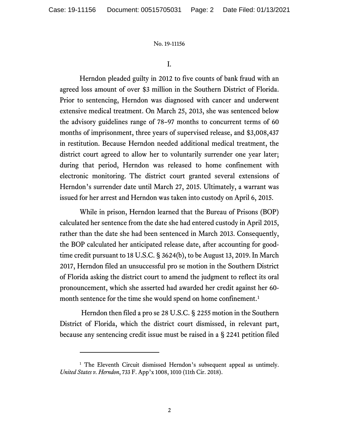I.

Herndon pleaded guilty in 2012 to five counts of bank fraud with an agreed loss amount of over \$3 million in the Southern District of Florida. Prior to sentencing, Herndon was diagnosed with cancer and underwent extensive medical treatment. On March 25, 2013, she was sentenced below the advisory guidelines range of 78–97 months to concurrent terms of 60 months of imprisonment, three years of supervised release, and \$3,008,437 in restitution. Because Herndon needed additional medical treatment, the district court agreed to allow her to voluntarily surrender one year later; during that period, Herndon was released to home confinement with electronic monitoring. The district court granted several extensions of Herndon's surrender date until March 27, 2015. Ultimately, a warrant was issued for her arrest and Herndon was taken into custody on April 6, 2015.

While in prison, Herndon learned that the Bureau of Prisons (BOP) calculated her sentence from the date she had entered custody in April 2015, rather than the date she had been sentenced in March 2013. Consequently, the BOP calculated her anticipated release date, after accounting for goodtime credit pursuant to 18 U.S.C. § 3624(b), to be August 13, 2019. In March 2017, Herndon filed an unsuccessful pro se motion in the Southern District of Florida asking the district court to amend the judgment to reflect its oral pronouncement, which she asserted had awarded her credit against her 60- month sentence for the time she would spend on home confinement.<sup>[1](#page-1-0)</sup>

Herndon then filed a pro se 28 U.S.C. § 2255 motion in the Southern District of Florida, which the district court dismissed, in relevant part, because any sentencing credit issue must be raised in a § 2241 petition filed

<span id="page-1-0"></span><sup>&</sup>lt;sup>1</sup> The Eleventh Circuit dismissed Herndon's subsequent appeal as untimely. *United States v. Herndon*, 733 F. App'x 1008, 1010 (11th Cir. 2018).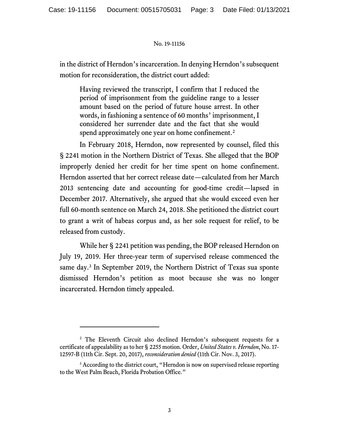in the district of Herndon's incarceration. In denying Herndon's subsequent motion for reconsideration, the district court added:

Having reviewed the transcript, I confirm that I reduced the period of imprisonment from the guideline range to a lesser amount based on the period of future house arrest. In other words, in fashioning a sentence of 60 months' imprisonment, I considered her surrender date and the fact that she would spend approximately one year on home confinement.<sup>[2](#page-2-0)</sup>

In February 2018, Herndon, now represented by counsel, filed this § 2241 motion in the Northern District of Texas. She alleged that the BOP improperly denied her credit for her time spent on home confinement. Herndon asserted that her correct release date—calculated from her March 2013 sentencing date and accounting for good-time credit—lapsed in December 2017. Alternatively, she argued that she would exceed even her full 60-month sentence on March 24, 2018. She petitioned the district court to grant a writ of habeas corpus and, as her sole request for relief, to be released from custody.

While her § 2241 petition was pending, the BOP released Herndon on July 19, 2019. Her three-year term of supervised release commenced the same day.[3](#page-2-1) In September 2019, the Northern District of Texas sua sponte dismissed Herndon's petition as moot because she was no longer incarcerated. Herndon timely appealed.

<span id="page-2-0"></span><sup>&</sup>lt;sup>2</sup> The Eleventh Circuit also declined Herndon's subsequent requests for a certificate of appealability as to her § 2255 motion. Order, *United States v. Herndon*, No. 17- 12597-B (11th Cir. Sept. 20, 2017), *reconsideration denied* (11th Cir. Nov. 3, 2017).

<span id="page-2-1"></span><sup>&</sup>lt;sup>3</sup> According to the district court, "Herndon is now on supervised release reporting to the West Palm Beach, Florida Probation Office."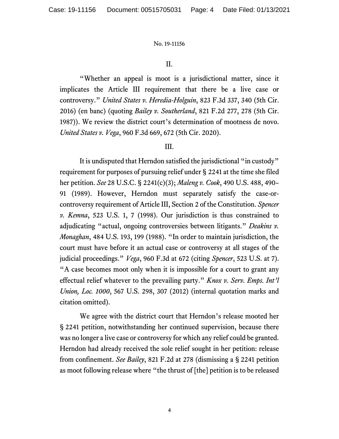## II.

"Whether an appeal is moot is a jurisdictional matter, since it implicates the Article III requirement that there be a live case or controversy." *United States v. Heredia-Holguin*, 823 F.3d 337, 340 (5th Cir. 2016) (en banc) (quoting *Bailey v. Southerland*, 821 F.2d 277, 278 (5th Cir. 1987)). We review the district court's determination of mootness de novo. *United States v. Vega*, 960 F.3d 669, 672 (5th Cir. 2020).

### III.

It is undisputed that Herndon satisfied the jurisdictional "in custody" requirement for purposes of pursuing relief under § 2241 at the time she filed her petition. *See* 28 U.S.C. § 2241(c)(3); *Maleng v. Cook*, 490 U.S. 488, 490– 91 (1989). However, Herndon must separately satisfy the case-orcontroversy requirement of Article III, Section 2 of the Constitution. *Spencer v. Kemna*, 523 U.S. 1, 7 (1998). Our jurisdiction is thus constrained to adjudicating "actual, ongoing controversies between litigants." *Deakins v. Monaghan*, 484 U.S. 193, 199 (1988). "In order to maintain jurisdiction, the court must have before it an actual case or controversy at all stages of the judicial proceedings." *Vega*, 960 F.3d at 672 (citing *Spencer*, 523 U.S. at 7). "A case becomes moot only when it is impossible for a court to grant any effectual relief whatever to the prevailing party." *Knox v. Serv. Emps. Int'l Union, Loc. 1000*, 567 U.S. 298, 307 (2012) (internal quotation marks and citation omitted).

We agree with the district court that Herndon's release mooted her § 2241 petition, notwithstanding her continued supervision, because there was no longer a live case or controversy for which any relief could be granted. Herndon had already received the sole relief sought in her petition: release from confinement. *See Bailey*, 821 F.2d at 278 (dismissing a § 2241 petition as moot following release where "the thrust of [the] petition is to be released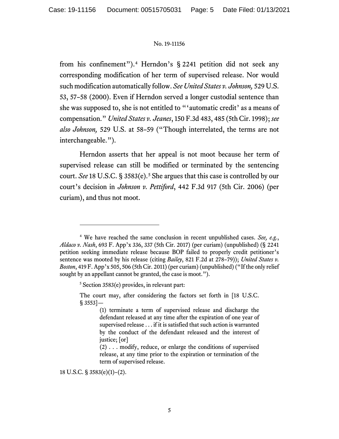from his confinement").[4](#page-4-0) Herndon's § 2241 petition did not seek any corresponding modification of her term of supervised release. Nor would such modification automatically follow. *See United States v. Johnson,* 529 U.S. 53, 57–58 (2000). Even if Herndon served a longer custodial sentence than she was supposed to, she is not entitled to "'automatic credit' as a means of compensation." *United States v. Jeanes*, 150 F.3d 483, 485 (5th Cir. 1998); *see also Johnson,* 529 U.S. at 58–59 ("Though interrelated, the terms are not interchangeable.").

Herndon asserts that her appeal is not moot because her term of supervised release can still be modified or terminated by the sentencing court. *See* 18 U.S.C. § 3[5](#page-4-1)83(e).<sup>5</sup> She argues that this case is controlled by our court's decision in *Johnson v. Pettiford*, 442 F.3d 917 (5th Cir. 2006) (per curiam), and thus not moot.

<span id="page-4-1"></span><span id="page-4-0"></span><sup>4</sup> We have reached the same conclusion in recent unpublished cases. *See, e.g.*, *Aldaco v. Nash*, 693 F. App'x 336, 337 (5th Cir. 2017) (per curiam) (unpublished) (§ 2241 petition seeking immediate release because BOP failed to properly credit petitioner's sentence was mooted by his release (citing *Bailey*, 821 F.2d at 278–79)); *United States v. Boston*, 419 F. App'x 505, 506 (5th Cir. 2011) (per curiam) (unpublished) ("If the only relief sought by an appellant cannot be granted, the case is moot.").

<sup>5</sup> Section 3583(e) provides, in relevant part:

The court may, after considering the factors set forth in [18 U.S.C.  $§$  3553]—

<sup>(1)</sup> terminate a term of supervised release and discharge the defendant released at any time after the expiration of one year of supervised release . . . if it is satisfied that such action is warranted by the conduct of the defendant released and the interest of justice; [or]

<sup>(2) . . .</sup> modify, reduce, or enlarge the conditions of supervised release, at any time prior to the expiration or termination of the term of supervised release.

<sup>18</sup> U.S.C. § 3583(e)(1)–(2).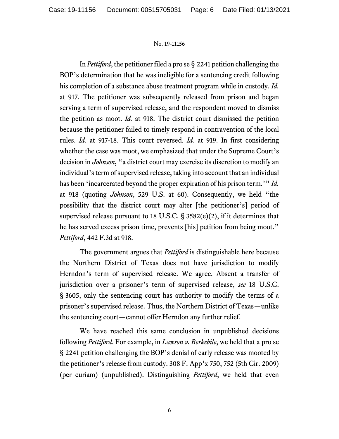In *Pettiford*, the petitioner filed a pro se § 2241 petition challenging the BOP's determination that he was ineligible for a sentencing credit following his completion of a substance abuse treatment program while in custody. *Id.* at 917. The petitioner was subsequently released from prison and began serving a term of supervised release, and the respondent moved to dismiss the petition as moot. *Id.* at 918. The district court dismissed the petition because the petitioner failed to timely respond in contravention of the local rules. *Id.* at 917-18. This court reversed. *Id.* at 919. In first considering whether the case was moot, we emphasized that under the Supreme Court's decision in *Johnson*, "a district court may exercise its discretion to modify an individual's term of supervised release, taking into account that an individual has been 'incarcerated beyond the proper expiration of his prison term.'" *Id.* at 918 (quoting *Johnson*, 529 U.S. at 60). Consequently, we held "the possibility that the district court may alter [the petitioner's] period of supervised release pursuant to 18 U.S.C. § 3582(e)(2), if it determines that he has served excess prison time, prevents [his] petition from being moot." *Pettiford*, 442 F.3d at 918.

The government argues that *Pettiford* is distinguishable here because the Northern District of Texas does not have jurisdiction to modify Herndon's term of supervised release. We agree. Absent a transfer of jurisdiction over a prisoner's term of supervised release, *see* 18 U.S.C. § 3605, only the sentencing court has authority to modify the terms of a prisoner's supervised release. Thus, the Northern District of Texas—unlike the sentencing court—cannot offer Herndon any further relief.

We have reached this same conclusion in unpublished decisions following *Pettiford*. For example, in *Lawson v. Berkebile*, we held that a pro se § 2241 petition challenging the BOP's denial of early release was mooted by the petitioner's release from custody. 308 F. App'x 750, 752 (5th Cir. 2009) (per curiam) (unpublished). Distinguishing *Pettiford*, we held that even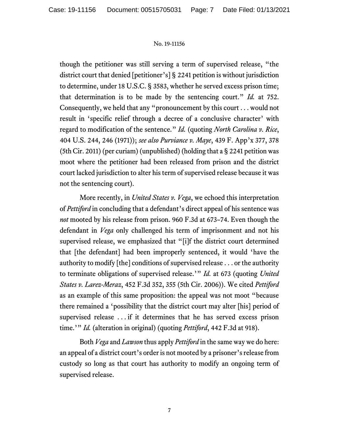though the petitioner was still serving a term of supervised release, "the district court that denied [petitioner's] § 2241 petition is without jurisdiction to determine, under 18 U.S.C. § 3583, whether he served excess prison time; that determination is to be made by the sentencing court." *Id.* at 752. Consequently, we held that any "pronouncement by this court . . . would not result in 'specific relief through a decree of a conclusive character' with regard to modification of the sentence." *Id.* (quoting *North Carolina v. Rice*, 404 U.S. 244, 246 (1971)); *see also Purviance v. Maye*, 439 F. App'x 377, 378 (5th Cir. 2011) (per curiam) (unpublished) (holding that a § 2241 petition was moot where the petitioner had been released from prison and the district court lacked jurisdiction to alter his term of supervised release because it was not the sentencing court).

More recently, in *United States v. Vega*, we echoed this interpretation of *Pettiford* in concluding that a defendant's direct appeal of his sentence was *not* mooted by his release from prison. 960 F.3d at 673–74. Even though the defendant in *Vega* only challenged his term of imprisonment and not his supervised release, we emphasized that "[i]f the district court determined that [the defendant] had been improperly sentenced, it would 'have the authority to modify [the] conditions of supervised release . . . or the authority to terminate obligations of supervised release.'" *Id.* at 673 (quoting *United States v. Larez-Meraz*, 452 F.3d 352, 355 (5th Cir. 2006)). We cited *Pettiford* as an example of this same proposition: the appeal was not moot "because there remained a 'possibility that the district court may alter [his] period of supervised release . . . if it determines that he has served excess prison time.'" *Id.* (alteration in original) (quoting *Pettiford*, 442 F.3d at 918).

Both *Vega* and *Lawson* thus apply *Pettiford* in the same way we do here: an appeal of a district court's order is not mooted by a prisoner's release from custody so long as that court has authority to modify an ongoing term of supervised release.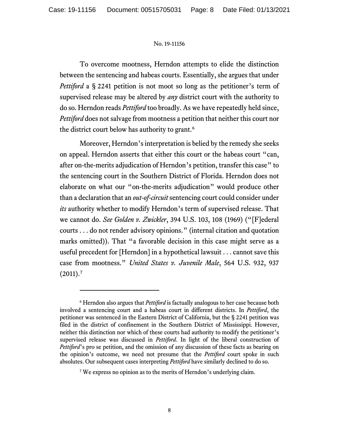To overcome mootness, Herndon attempts to elide the distinction between the sentencing and habeas courts. Essentially, she argues that under *Pettiford* a § 2241 petition is not moot so long as the petitioner's term of supervised release may be altered by *any* district court with the authority to do so. Herndon reads *Pettiford* too broadly. As we have repeatedly held since, *Pettiford* does not salvage from mootness a petition that neither this court nor the district court below has authority to grant.<sup>[6](#page-7-0)</sup>

Moreover, Herndon's interpretation is belied by the remedy she seeks on appeal. Herndon asserts that either this court or the habeas court "can, after on-the-merits adjudication of Herndon's petition, transfer this case" to the sentencing court in the Southern District of Florida. Herndon does not elaborate on what our "on-the-merits adjudication" would produce other than a declaration that an *out-of-circuit*sentencing court could consider under *its* authority whether to modify Herndon's term of supervised release. That we cannot do. *See Golden v. Zwickler*, 394 U.S. 103, 108 (1969) ("[F]ederal courts . . . do not render advisory opinions." (internal citation and quotation marks omitted)). That "a favorable decision in this case might serve as a useful precedent for [Herndon] in a hypothetical lawsuit . . . cannot save this case from mootness." *United States v. Juvenile Male*, 564 U.S. 932, 937  $(2011).7$  $(2011).7$ 

<span id="page-7-0"></span><sup>6</sup> Herndon also argues that *Pettiford* is factually analogous to her case because both involved a sentencing court and a habeas court in different districts. In *Pettiford*, the petitioner was sentenced in the Eastern District of California, but the § 2241 petition was filed in the district of confinement in the Southern District of Mississippi. However, neither this distinction nor which of these courts had authority to modify the petitioner's supervised release was discussed in *Pettiford*. In light of the liberal construction of *Pettiford*'s pro se petition, and the omission of any discussion of these facts as bearing on the opinion's outcome, we need not presume that the *Pettiford* court spoke in such absolutes. Our subsequent cases interpreting *Pettiford* have similarly declined to do so.

<span id="page-7-1"></span><sup>7</sup> We express no opinion as to the merits of Herndon's underlying claim.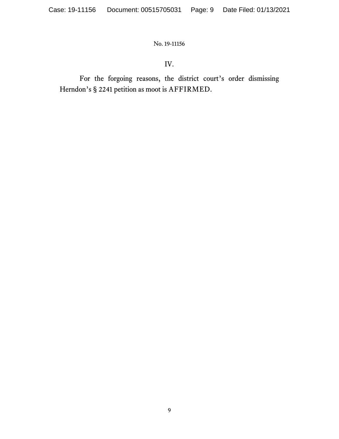# IV.

For the forgoing reasons, the district court's order dismissing Herndon's § 2241 petition as moot is AFFIRMED.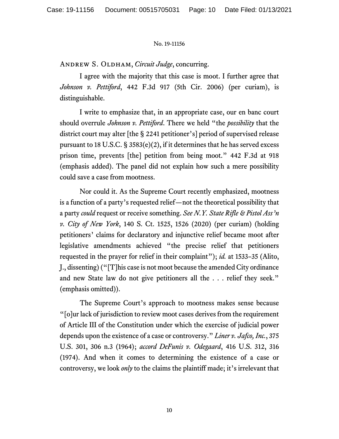ANDREW S. OLDHAM, *Circuit Judge*, concurring.

I agree with the majority that this case is moot. I further agree that *Johnson v. Pettiford*, 442 F.3d 917 (5th Cir. 2006) (per curiam), is distinguishable.

I write to emphasize that, in an appropriate case, our en banc court should overrule *Johnson v. Pettiford*. There we held "the *possibility* that the district court may alter [the § 2241 petitioner's] period of supervised release pursuant to 18 U.S.C.  $\S$  3583(e)(2), if it determines that he has served excess prison time, prevents [the] petition from being moot." 442 F.3d at 918 (emphasis added). The panel did not explain how such a mere possibility could save a case from mootness.

Nor could it. As the Supreme Court recently emphasized, mootness is a function of a party's requested relief—not the theoretical possibility that a party *could* request or receive something. *See N.Y. State Rifle & Pistol Ass'n v. City of New York*, 140 S. Ct. 1525, 1526 (2020) (per curiam) (holding petitioners' claims for declaratory and injunctive relief became moot after legislative amendments achieved "the precise relief that petitioners requested in the prayer for relief in their complaint"); *id.* at 1533–35 (Alito, J., dissenting) ("[T]his case is not moot because the amended City ordinance and new State law do not give petitioners all the . . . relief they seek." (emphasis omitted)).

The Supreme Court's approach to mootness makes sense because "[o]ur lack of jurisdiction to review moot cases derives from the requirement of Article III of the Constitution under which the exercise of judicial power depends upon the existence of a case or controversy." *Liner v. Jafco, Inc.*, 375 U.S. 301, 306 n.3 (1964); *accord DeFunis v. Odegaard*, 416 U.S. 312, 316 (1974). And when it comes to determining the existence of a case or controversy, we look *only* to the claims the plaintiff made; it's irrelevant that